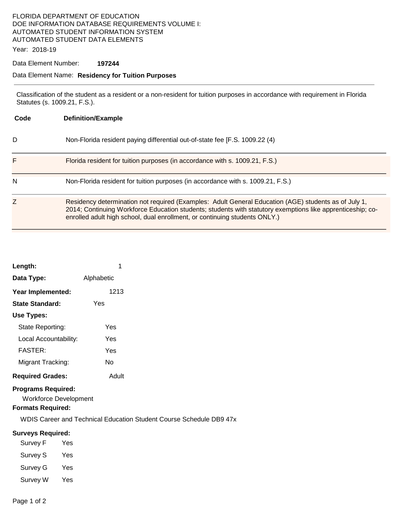## FLORIDA DEPARTMENT OF EDUCATION DOE INFORMATION DATABASE REQUIREMENTS VOLUME I: AUTOMATED STUDENT INFORMATION SYSTEM AUTOMATED STUDENT DATA ELEMENTS

Year: 2018-19

### Data Element Number: **197244**

### Data Element Name: **Residency for Tuition Purposes**

Classification of the student as a resident or a non-resident for tuition purposes in accordance with requirement in Florida Statutes (s. 1009.21, F.S.).

| Code | <b>Definition/Example</b>                                                                                                                                                                                                                                                                        |  |
|------|--------------------------------------------------------------------------------------------------------------------------------------------------------------------------------------------------------------------------------------------------------------------------------------------------|--|
| D    | Non-Florida resident paying differential out-of-state fee [F.S. 1009.22 (4)                                                                                                                                                                                                                      |  |
| F    | Florida resident for tuition purposes (in accordance with s. 1009.21, F.S.)                                                                                                                                                                                                                      |  |
| N    | Non-Florida resident for tuition purposes (in accordance with s. 1009.21, F.S.)                                                                                                                                                                                                                  |  |
| Z    | Residency determination not required (Examples: Adult General Education (AGE) students as of July 1,<br>2014; Continuing Workforce Education students; students with statutory exemptions like apprenticeship; co-<br>enrolled adult high school, dual enrollment, or continuing students ONLY.) |  |

| Length:                 |            |  |
|-------------------------|------------|--|
| Data Type:              | Alphabetic |  |
| Year Implemented:       | 1213       |  |
| <b>State Standard:</b>  | Yes        |  |
| Use Types:              |            |  |
| State Reporting:        | Yes        |  |
| Local Accountability:   | Yes        |  |
| <b>FASTER:</b>          | Yes        |  |
| Migrant Tracking:       | N٥         |  |
| <b>Required Grades:</b> | Adult      |  |

### **Programs Required:**

Workforce Development

## **Formats Required:**

WDIS Career and Technical Education Student Course Schedule DB9 47x

#### **Surveys Required:**

| Survey F | Yes |
|----------|-----|
| Survey S | Yes |
| Survey G | Yes |
| Survey W | Yes |